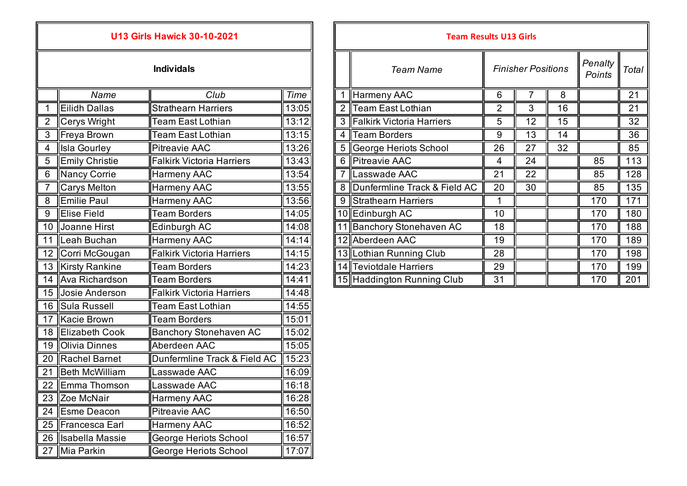| <b>U13 Girls Hawick 30-10-2021</b> |                        |                                  |       |  |  |  |
|------------------------------------|------------------------|----------------------------------|-------|--|--|--|
| <b>Individals</b>                  |                        |                                  |       |  |  |  |
|                                    | Name<br>Club           |                                  |       |  |  |  |
| 1                                  | <b>Eilidh Dallas</b>   | <b>Strathearn Harriers</b>       | 13:05 |  |  |  |
| $\overline{2}$                     | Cerys Wright           | <b>Team East Lothian</b>         | 13:12 |  |  |  |
| $\overline{3}$                     | Freya Brown            | <b>Team East Lothian</b>         | 13:15 |  |  |  |
| $\overline{\mathbf{4}}$            | <b>Isla Gourley</b>    | <b>Pitreavie AAC</b>             | 13:26 |  |  |  |
| 5                                  | <b>Emily Christie</b>  | <b>Falkirk Victoria Harriers</b> |       |  |  |  |
| 6                                  | Nancy Corrie           | <b>Harmeny AAC</b>               | 13:54 |  |  |  |
| 7                                  | Carys Melton           | Harmeny AAC                      | 13:55 |  |  |  |
| 8                                  | <b>Emilie Paul</b>     | Harmeny AAC                      | 13:56 |  |  |  |
| 9                                  | <b>Elise Field</b>     | <b>Team Borders</b>              | 14:05 |  |  |  |
| 10                                 | Joanne Hirst           | Edinburgh AC                     | 14:08 |  |  |  |
| 11                                 | Leah Buchan            | <b>Harmeny AAC</b>               | 14:14 |  |  |  |
| 12                                 | Corri McGougan         | <b>Falkirk Victoria Harriers</b> | 14:15 |  |  |  |
| 13                                 | <b>Kirsty Rankine</b>  | <b>Team Borders</b>              | 14:23 |  |  |  |
| 14                                 | Ava Richardson         | <b>Team Borders</b>              | 14:41 |  |  |  |
| 15                                 | Josie Anderson         | <b>Falkirk Victoria Harriers</b> | 14:48 |  |  |  |
| 16                                 | Sula Russell           | <b>Team East Lothian</b>         | 14:55 |  |  |  |
| 17                                 | Kacie Brown            | <b>Team Borders</b>              | 15:01 |  |  |  |
| $\overline{18}$                    | <b>Elizabeth Cook</b>  | <b>Banchory Stonehaven AC</b>    | 15:02 |  |  |  |
| 19                                 | <b>Olivia Dinnes</b>   | Aberdeen AAC                     | 15:05 |  |  |  |
| 20                                 | <b>Rachel Barnet</b>   | Dunfermline Track & Field AC     | 15:23 |  |  |  |
| 21                                 | <b>Beth McWilliam</b>  | Lasswade AAC                     | 16:09 |  |  |  |
| 22                                 | Emma Thomson           | Lasswade AAC                     | 16:18 |  |  |  |
| 23                                 | Zoe McNair             | Harmeny AAC                      | 16:28 |  |  |  |
| 24                                 | <b>Esme Deacon</b>     | <b>Pitreavie AAC</b>             | 16:50 |  |  |  |
| 25                                 | Francesca Earl         | <b>Harmeny AAC</b>               | 16:52 |  |  |  |
| 26                                 | <b>Isabella Massie</b> | <b>George Heriots School</b>     | 16:57 |  |  |  |
| 27                                 | Mia Parkin             | <b>George Heriots School</b>     | 17:07 |  |  |  |

|                |                       | <b>U13 Girls Hawick 30-10-2021</b> |       |     | <b>Team Results U13 Girls</b>  |                |                           |    |                   |         |
|----------------|-----------------------|------------------------------------|-------|-----|--------------------------------|----------------|---------------------------|----|-------------------|---------|
|                |                       | <b>Individals</b>                  |       |     | <b>Team Name</b>               |                | <b>Finisher Positions</b> |    | Penalty<br>Points | Total I |
|                | Name                  | Club                               | Time  |     | Harmeny AAC                    | 6              |                           | 8  |                   | 21      |
|                | Eilidh Dallas         | <b>Strathearn Harriers</b>         | 13:05 |     | 2 Team East Lothian            | $\overline{2}$ | 3                         | 16 |                   | 21      |
|                | Cerys Wright          | <b>Team East Lothian</b>           | 13:12 |     | 3 Falkirk Victoria Harriers    | 5              | 12                        | 15 |                   | 32      |
| 3              | Freya Brown           | Team East Lothian                  | 13:15 | 4 I | <b>Team Borders</b>            | 9              | 13                        | 14 |                   | 36      |
| $\overline{4}$ | Isla Gourley          | <b>Pitreavie AAC</b>               | 13:26 |     | 5 George Heriots School        | 26             | 27                        | 32 |                   | 85      |
| $\overline{5}$ | <b>Emily Christie</b> | Falkirk Victoria Harriers          | 13:43 |     | 6 Pitreavie AAC                | 4              | 24                        |    | 85                | 113     |
| 6              | Nancy Corrie          | <b>Harmeny AAC</b>                 | 13:54 |     | Lasswade AAC                   | 21             | 22                        |    | 85                | 128     |
|                | Carys Melton          | <b>Harmeny AAC</b>                 | 13:55 |     | 8 Dunfermline Track & Field AC | 20             | 30                        |    | 85                | 135     |
| 8              | <b>Emilie Paul</b>    | <b>Harmeny AAC</b>                 | 13:56 |     | 9 Strathearn Harriers          |                |                           |    | 170               | 171     |
| 9              | <b>Elise Field</b>    | <b>Team Borders</b>                | 14:05 |     | 10 Edinburgh AC                | 10             |                           |    | 170               | 180     |
|                | 10 Joanne Hirst       | Edinburgh AC                       | 14:08 |     | Banchory Stonehaven AC         | 18             |                           |    | 170               | 188     |
|                | 11 Leah Buchan        | <b>Harmeny AAC</b>                 | 14:14 |     | 12 Aberdeen AAC                | 19             |                           |    | 170               | 189     |
|                | 12 Corri McGougan     | Falkirk Victoria Harriers          | 14:15 |     | 13  Lothian Running Club       | 28             |                           |    | 170               | 198     |
|                | 13 Kirsty Rankine     | <b>Team Borders</b>                | 14:23 |     | 14 Teviotdale Harriers         | 29             |                           |    | 170               | 199     |
|                | 14 Ava Richardson     | <b>Team Borders</b>                | 14:41 |     | 15 Haddington Running Club     | 31             |                           |    | 170               | 201     |
|                |                       |                                    |       |     |                                |                |                           |    |                   |         |